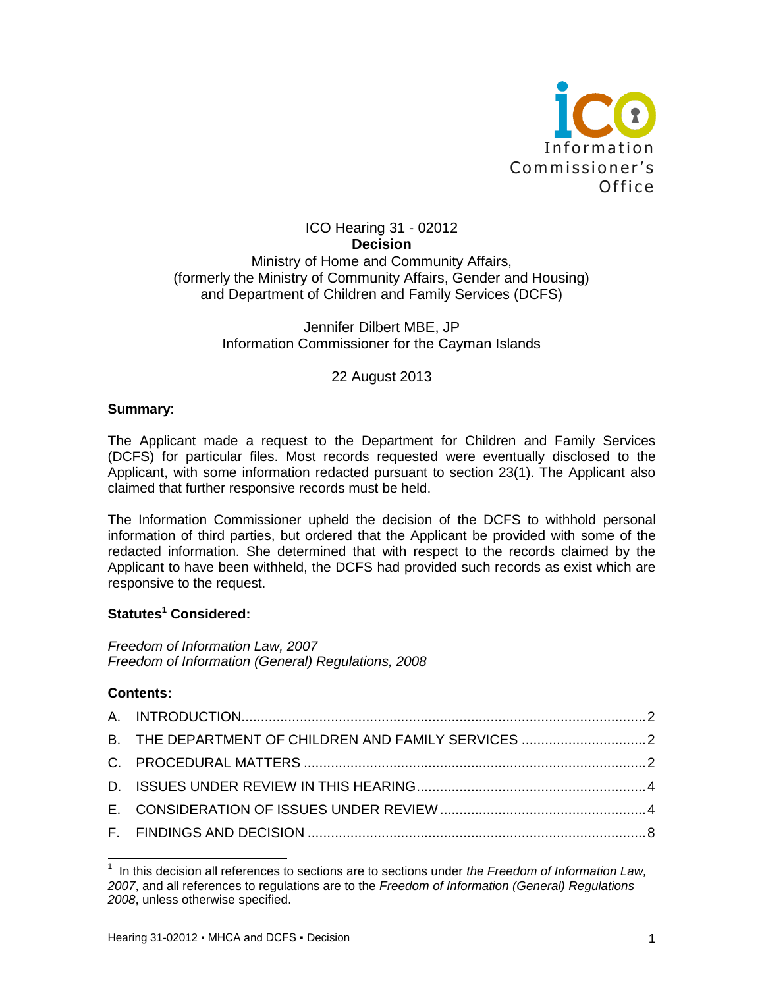

## ICO Hearing 31 - 02012 **Decision** Ministry of Home and Community Affairs, (formerly the Ministry of Community Affairs, Gender and Housing) and Department of Children and Family Services (DCFS)

Jennifer Dilbert MBE, JP Information Commissioner for the Cayman Islands

## 22 August 2013

## **Summary**:

The Applicant made a request to the Department for Children and Family Services (DCFS) for particular files. Most records requested were eventually disclosed to the Applicant, with some information redacted pursuant to section 23(1). The Applicant also claimed that further responsive records must be held.

The Information Commissioner upheld the decision of the DCFS to withhold personal information of third parties, but ordered that the Applicant be provided with some of the redacted information. She determined that with respect to the records claimed by the Applicant to have been withheld, the DCFS had provided such records as exist which are responsive to the request.

## **Statutes<sup>1</sup> Considered:**

*Freedom of Information Law, 2007 Freedom of Information (General) Regulations, 2008*

## **Contents:**

 $\overline{\phantom{a}}$ 

| B. THE DEPARTMENT OF CHILDREN AND FAMILY SERVICES  2 |  |
|------------------------------------------------------|--|
|                                                      |  |
|                                                      |  |
|                                                      |  |
|                                                      |  |

<sup>1</sup> In this decision all references to sections are to sections under *the Freedom of Information Law, 2007*, and all references to regulations are to the *Freedom of Information (General) Regulations 2008*, unless otherwise specified.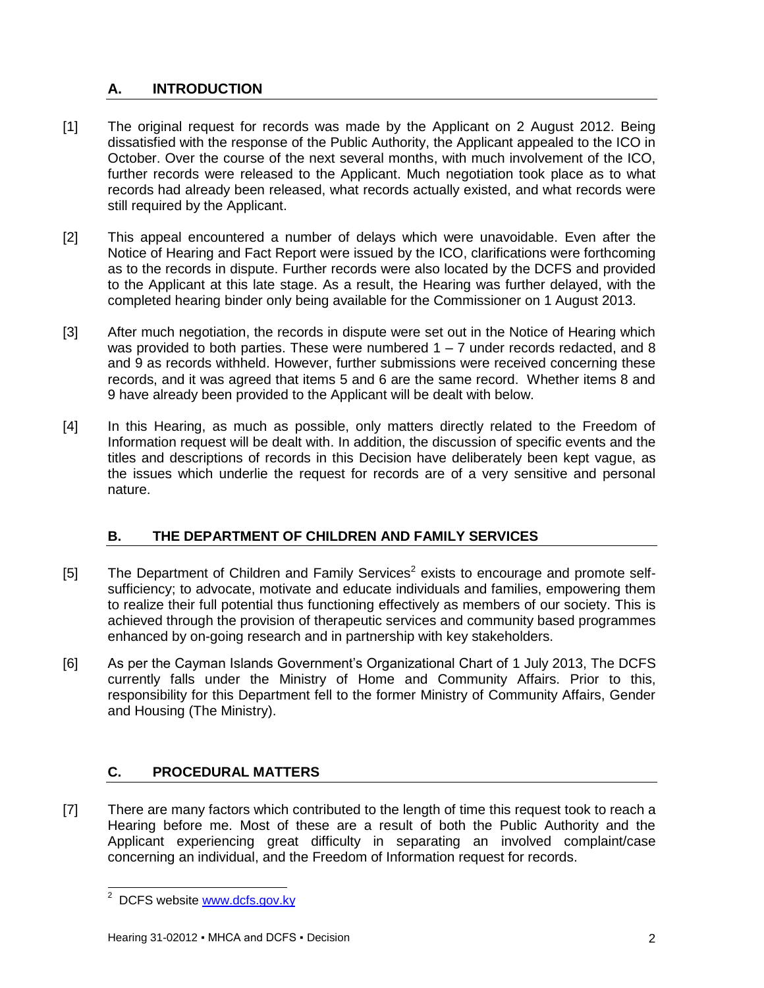# <span id="page-1-0"></span>**A. INTRODUCTION**

- [1] The original request for records was made by the Applicant on 2 August 2012. Being dissatisfied with the response of the Public Authority, the Applicant appealed to the ICO in October. Over the course of the next several months, with much involvement of the ICO, further records were released to the Applicant. Much negotiation took place as to what records had already been released, what records actually existed, and what records were still required by the Applicant.
- [2] This appeal encountered a number of delays which were unavoidable. Even after the Notice of Hearing and Fact Report were issued by the ICO, clarifications were forthcoming as to the records in dispute. Further records were also located by the DCFS and provided to the Applicant at this late stage. As a result, the Hearing was further delayed, with the completed hearing binder only being available for the Commissioner on 1 August 2013.
- [3] After much negotiation, the records in dispute were set out in the Notice of Hearing which was provided to both parties. These were numbered  $1 - 7$  under records redacted, and 8 and 9 as records withheld. However, further submissions were received concerning these records, and it was agreed that items 5 and 6 are the same record. Whether items 8 and 9 have already been provided to the Applicant will be dealt with below.
- [4] In this Hearing, as much as possible, only matters directly related to the Freedom of Information request will be dealt with. In addition, the discussion of specific events and the titles and descriptions of records in this Decision have deliberately been kept vague, as the issues which underlie the request for records are of a very sensitive and personal nature.

# <span id="page-1-1"></span>**B. THE DEPARTMENT OF CHILDREN AND FAMILY SERVICES**

- [5] The Department of Children and Family Services<sup>2</sup> exists to encourage and promote selfsufficiency; to advocate, motivate and educate individuals and families, empowering them to realize their full potential thus functioning effectively as members of our society. This is achieved through the provision of therapeutic services and community based programmes enhanced by on-going research and in partnership with key stakeholders.
- [6] As per the Cayman Islands Government's Organizational Chart of 1 July 2013, The DCFS currently falls under the Ministry of Home and Community Affairs. Prior to this, responsibility for this Department fell to the former Ministry of Community Affairs, Gender and Housing (The Ministry).

# <span id="page-1-2"></span>**C. PROCEDURAL MATTERS**

[7] There are many factors which contributed to the length of time this request took to reach a Hearing before me. Most of these are a result of both the Public Authority and the Applicant experiencing great difficulty in separating an involved complaint/case concerning an individual, and the Freedom of Information request for records.

l <sup>2</sup> DCFS website **www.dcfs.gov.ky**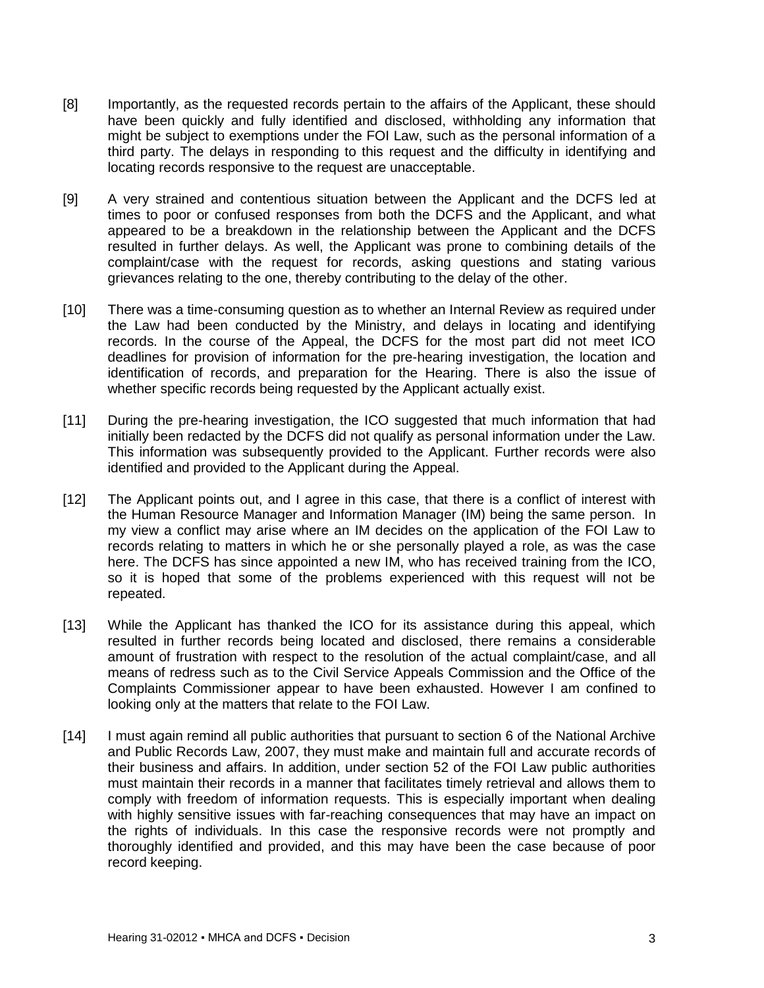- [8] Importantly, as the requested records pertain to the affairs of the Applicant, these should have been quickly and fully identified and disclosed, withholding any information that might be subject to exemptions under the FOI Law, such as the personal information of a third party. The delays in responding to this request and the difficulty in identifying and locating records responsive to the request are unacceptable.
- [9] A very strained and contentious situation between the Applicant and the DCFS led at times to poor or confused responses from both the DCFS and the Applicant, and what appeared to be a breakdown in the relationship between the Applicant and the DCFS resulted in further delays. As well, the Applicant was prone to combining details of the complaint/case with the request for records, asking questions and stating various grievances relating to the one, thereby contributing to the delay of the other.
- [10] There was a time-consuming question as to whether an Internal Review as required under the Law had been conducted by the Ministry, and delays in locating and identifying records. In the course of the Appeal, the DCFS for the most part did not meet ICO deadlines for provision of information for the pre-hearing investigation, the location and identification of records, and preparation for the Hearing. There is also the issue of whether specific records being requested by the Applicant actually exist.
- [11] During the pre-hearing investigation, the ICO suggested that much information that had initially been redacted by the DCFS did not qualify as personal information under the Law. This information was subsequently provided to the Applicant. Further records were also identified and provided to the Applicant during the Appeal.
- [12] The Applicant points out, and I agree in this case, that there is a conflict of interest with the Human Resource Manager and Information Manager (IM) being the same person. In my view a conflict may arise where an IM decides on the application of the FOI Law to records relating to matters in which he or she personally played a role, as was the case here. The DCFS has since appointed a new IM, who has received training from the ICO, so it is hoped that some of the problems experienced with this request will not be repeated.
- [13] While the Applicant has thanked the ICO for its assistance during this appeal, which resulted in further records being located and disclosed, there remains a considerable amount of frustration with respect to the resolution of the actual complaint/case, and all means of redress such as to the Civil Service Appeals Commission and the Office of the Complaints Commissioner appear to have been exhausted. However I am confined to looking only at the matters that relate to the FOI Law.
- [14] I must again remind all public authorities that pursuant to section 6 of the National Archive and Public Records Law, 2007, they must make and maintain full and accurate records of their business and affairs. In addition, under section 52 of the FOI Law public authorities must maintain their records in a manner that facilitates timely retrieval and allows them to comply with freedom of information requests. This is especially important when dealing with highly sensitive issues with far-reaching consequences that may have an impact on the rights of individuals. In this case the responsive records were not promptly and thoroughly identified and provided, and this may have been the case because of poor record keeping.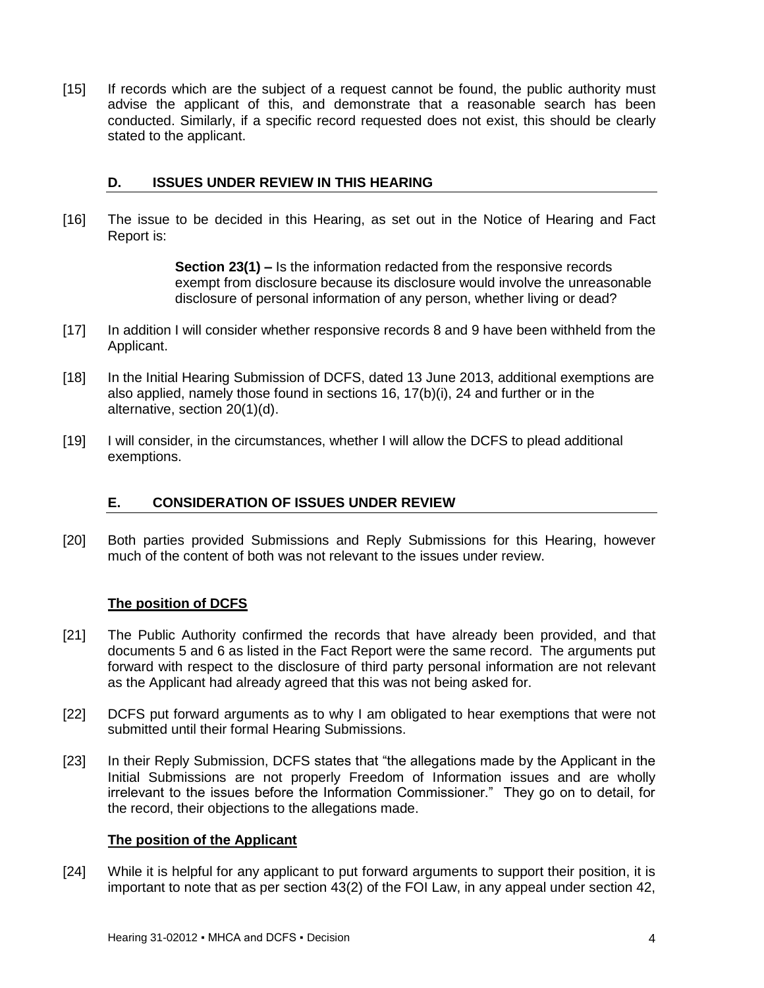[15] If records which are the subject of a request cannot be found, the public authority must advise the applicant of this, and demonstrate that a reasonable search has been conducted. Similarly, if a specific record requested does not exist, this should be clearly stated to the applicant.

### <span id="page-3-0"></span>**D. ISSUES UNDER REVIEW IN THIS HEARING**

[16] The issue to be decided in this Hearing, as set out in the Notice of Hearing and Fact Report is:

> **Section 23(1) –** Is the information redacted from the responsive records exempt from disclosure because its disclosure would involve the unreasonable disclosure of personal information of any person, whether living or dead?

- [17] In addition I will consider whether responsive records 8 and 9 have been withheld from the Applicant.
- [18] In the Initial Hearing Submission of DCFS, dated 13 June 2013, additional exemptions are also applied, namely those found in sections 16,  $17(b)(i)$ , 24 and further or in the alternative, section 20(1)(d).
- [19] I will consider, in the circumstances, whether I will allow the DCFS to plead additional exemptions.

## <span id="page-3-1"></span>**E. CONSIDERATION OF ISSUES UNDER REVIEW**

[20] Both parties provided Submissions and Reply Submissions for this Hearing, however much of the content of both was not relevant to the issues under review.

## **The position of DCFS**

- [21] The Public Authority confirmed the records that have already been provided, and that documents 5 and 6 as listed in the Fact Report were the same record. The arguments put forward with respect to the disclosure of third party personal information are not relevant as the Applicant had already agreed that this was not being asked for.
- [22] DCFS put forward arguments as to why I am obligated to hear exemptions that were not submitted until their formal Hearing Submissions.
- [23] In their Reply Submission, DCFS states that "the allegations made by the Applicant in the Initial Submissions are not properly Freedom of Information issues and are wholly irrelevant to the issues before the Information Commissioner." They go on to detail, for the record, their objections to the allegations made.

#### **The position of the Applicant**

[24] While it is helpful for any applicant to put forward arguments to support their position, it is important to note that as per section 43(2) of the FOI Law, in any appeal under section 42,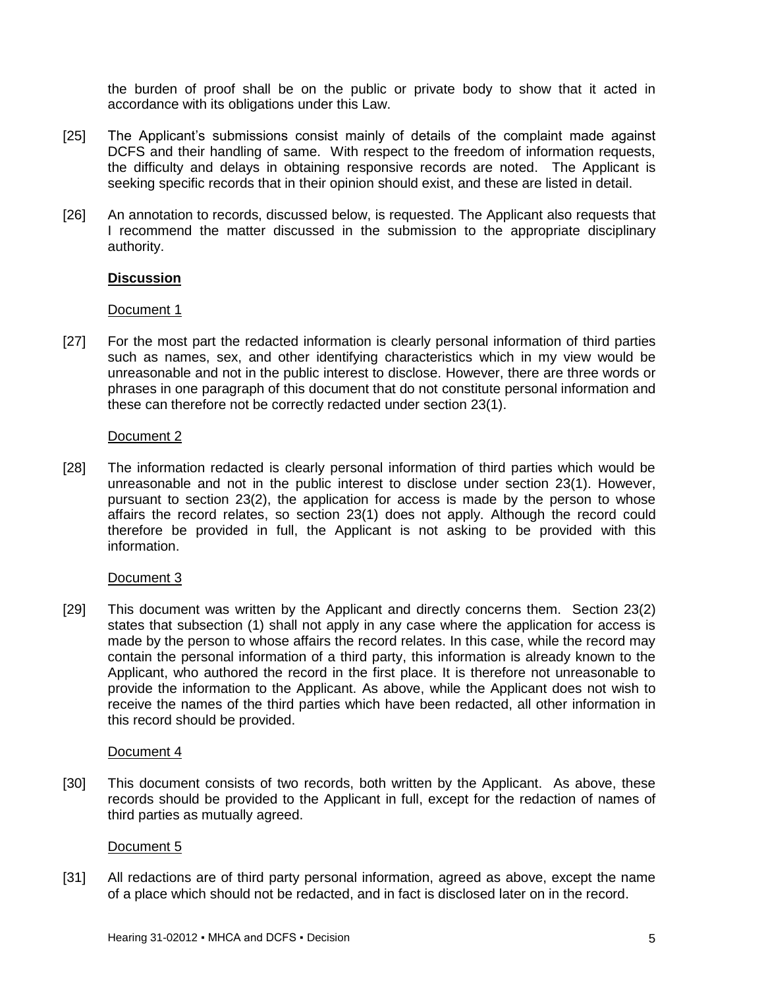the burden of proof shall be on the public or private body to show that it acted in accordance with its obligations under this Law.

- [25] The Applicant's submissions consist mainly of details of the complaint made against DCFS and their handling of same. With respect to the freedom of information requests, the difficulty and delays in obtaining responsive records are noted. The Applicant is seeking specific records that in their opinion should exist, and these are listed in detail.
- [26] An annotation to records, discussed below, is requested. The Applicant also requests that I recommend the matter discussed in the submission to the appropriate disciplinary authority.

## **Discussion**

#### Document 1

[27] For the most part the redacted information is clearly personal information of third parties such as names, sex, and other identifying characteristics which in my view would be unreasonable and not in the public interest to disclose. However, there are three words or phrases in one paragraph of this document that do not constitute personal information and these can therefore not be correctly redacted under section 23(1).

#### Document 2

[28] The information redacted is clearly personal information of third parties which would be unreasonable and not in the public interest to disclose under section 23(1). However, pursuant to section 23(2), the application for access is made by the person to whose affairs the record relates, so section 23(1) does not apply. Although the record could therefore be provided in full, the Applicant is not asking to be provided with this information.

#### Document 3

[29] This document was written by the Applicant and directly concerns them. Section 23(2) states that subsection (1) shall not apply in any case where the application for access is made by the person to whose affairs the record relates. In this case, while the record may contain the personal information of a third party, this information is already known to the Applicant, who authored the record in the first place. It is therefore not unreasonable to provide the information to the Applicant. As above, while the Applicant does not wish to receive the names of the third parties which have been redacted, all other information in this record should be provided.

#### Document 4

[30] This document consists of two records, both written by the Applicant. As above, these records should be provided to the Applicant in full, except for the redaction of names of third parties as mutually agreed.

#### Document 5

[31] All redactions are of third party personal information, agreed as above, except the name of a place which should not be redacted, and in fact is disclosed later on in the record.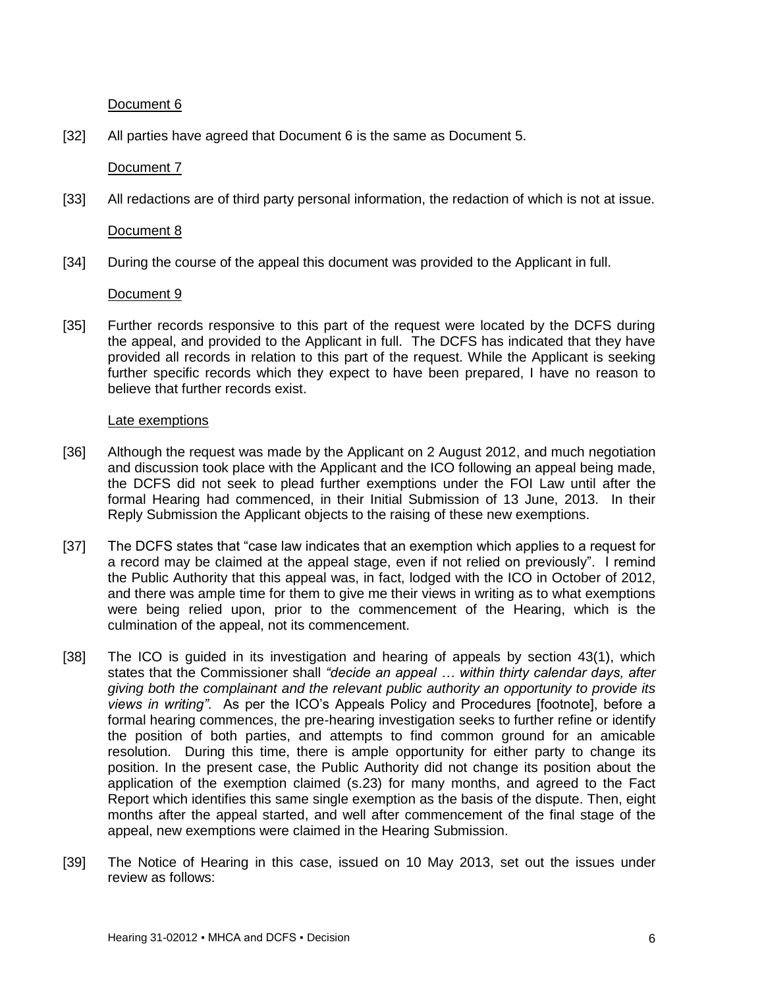Document 6

[32] All parties have agreed that Document 6 is the same as Document 5.

Document 7

[33] All redactions are of third party personal information, the redaction of which is not at issue.

Document 8

[34] During the course of the appeal this document was provided to the Applicant in full.

Document 9

[35] Further records responsive to this part of the request were located by the DCFS during the appeal, and provided to the Applicant in full. The DCFS has indicated that they have provided all records in relation to this part of the request. While the Applicant is seeking further specific records which they expect to have been prepared, I have no reason to believe that further records exist.

#### Late exemptions

- [36] Although the request was made by the Applicant on 2 August 2012, and much negotiation and discussion took place with the Applicant and the ICO following an appeal being made, the DCFS did not seek to plead further exemptions under the FOI Law until after the formal Hearing had commenced, in their Initial Submission of 13 June, 2013. In their Reply Submission the Applicant objects to the raising of these new exemptions.
- [37] The DCFS states that "case law indicates that an exemption which applies to a request for a record may be claimed at the appeal stage, even if not relied on previously". I remind the Public Authority that this appeal was, in fact, lodged with the ICO in October of 2012, and there was ample time for them to give me their views in writing as to what exemptions were being relied upon, prior to the commencement of the Hearing, which is the culmination of the appeal, not its commencement.
- [38] The ICO is guided in its investigation and hearing of appeals by section 43(1), which states that the Commissioner shall *"decide an appeal … within thirty calendar days, after giving both the complainant and the relevant public authority an opportunity to provide its views in writing"*. As per the ICO's Appeals Policy and Procedures [footnote], before a formal hearing commences, the pre-hearing investigation seeks to further refine or identify the position of both parties, and attempts to find common ground for an amicable resolution. During this time, there is ample opportunity for either party to change its position. In the present case, the Public Authority did not change its position about the application of the exemption claimed (s.23) for many months, and agreed to the Fact Report which identifies this same single exemption as the basis of the dispute. Then, eight months after the appeal started, and well after commencement of the final stage of the appeal, new exemptions were claimed in the Hearing Submission.
- [39] The Notice of Hearing in this case, issued on 10 May 2013, set out the issues under review as follows: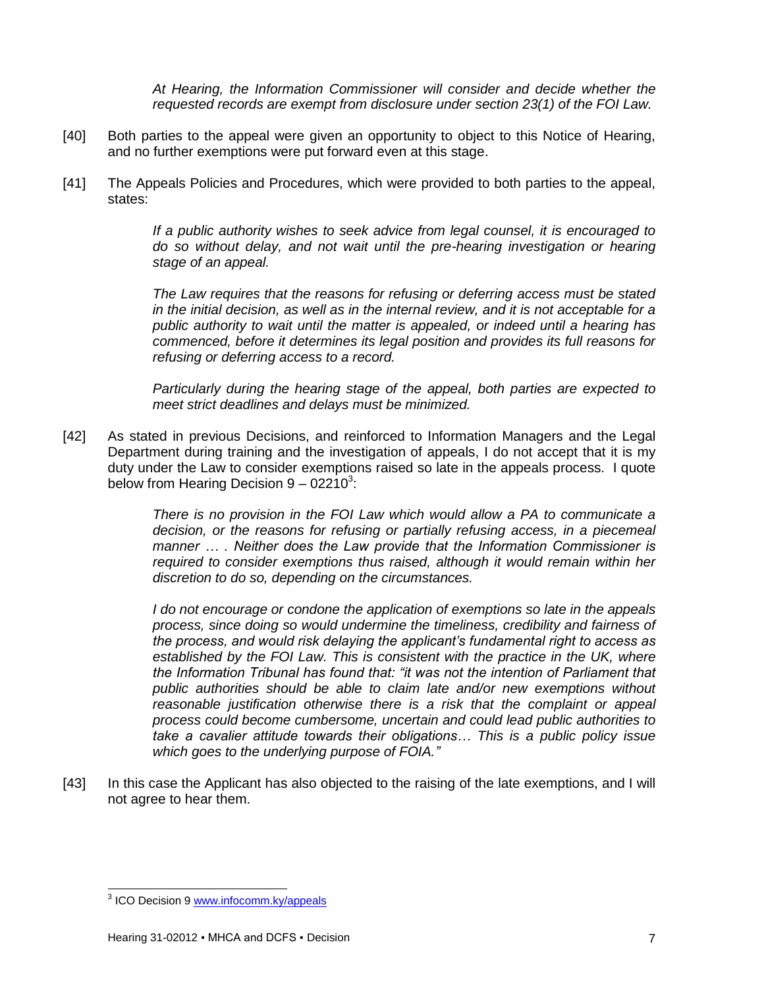*At Hearing, the Information Commissioner will consider and decide whether the requested records are exempt from disclosure under section 23(1) of the FOI Law.* 

- [40] Both parties to the appeal were given an opportunity to object to this Notice of Hearing, and no further exemptions were put forward even at this stage.
- [41] The Appeals Policies and Procedures, which were provided to both parties to the appeal, states:

*If a public authority wishes to seek advice from legal counsel, it is encouraged to do so without delay, and not wait until the pre-hearing investigation or hearing stage of an appeal.*

*The Law requires that the reasons for refusing or deferring access must be stated in the initial decision, as well as in the internal review, and it is not acceptable for a public authority to wait until the matter is appealed, or indeed until a hearing has commenced, before it determines its legal position and provides its full reasons for refusing or deferring access to a record.*

*Particularly during the hearing stage of the appeal, both parties are expected to meet strict deadlines and delays must be minimized.*

[42] As stated in previous Decisions, and reinforced to Information Managers and the Legal Department during training and the investigation of appeals, I do not accept that it is my duty under the Law to consider exemptions raised so late in the appeals process. I quote below from Hearing Decision  $9 - 02210^3$ :

> *There is no provision in the FOI Law which would allow a PA to communicate a decision, or the reasons for refusing or partially refusing access, in a piecemeal manner … . Neither does the Law provide that the Information Commissioner is required to consider exemptions thus raised, although it would remain within her discretion to do so, depending on the circumstances.*

> *I do not encourage or condone the application of exemptions so late in the appeals process, since doing so would undermine the timeliness, credibility and fairness of the process, and would risk delaying the applicant's fundamental right to access as established by the FOI Law. This is consistent with the practice in the UK, where the Information Tribunal has found that: "it was not the intention of Parliament that public authorities should be able to claim late and/or new exemptions without reasonable justification otherwise there is a risk that the complaint or appeal process could become cumbersome, uncertain and could lead public authorities to take a cavalier attitude towards their obligations… This is a public policy issue which goes to the underlying purpose of FOIA."*

[43] In this case the Applicant has also objected to the raising of the late exemptions, and I will not agree to hear them.

 3 ICO Decision 9 [www.infocomm.ky/appeals](http://www.infocomm.ky/appeals)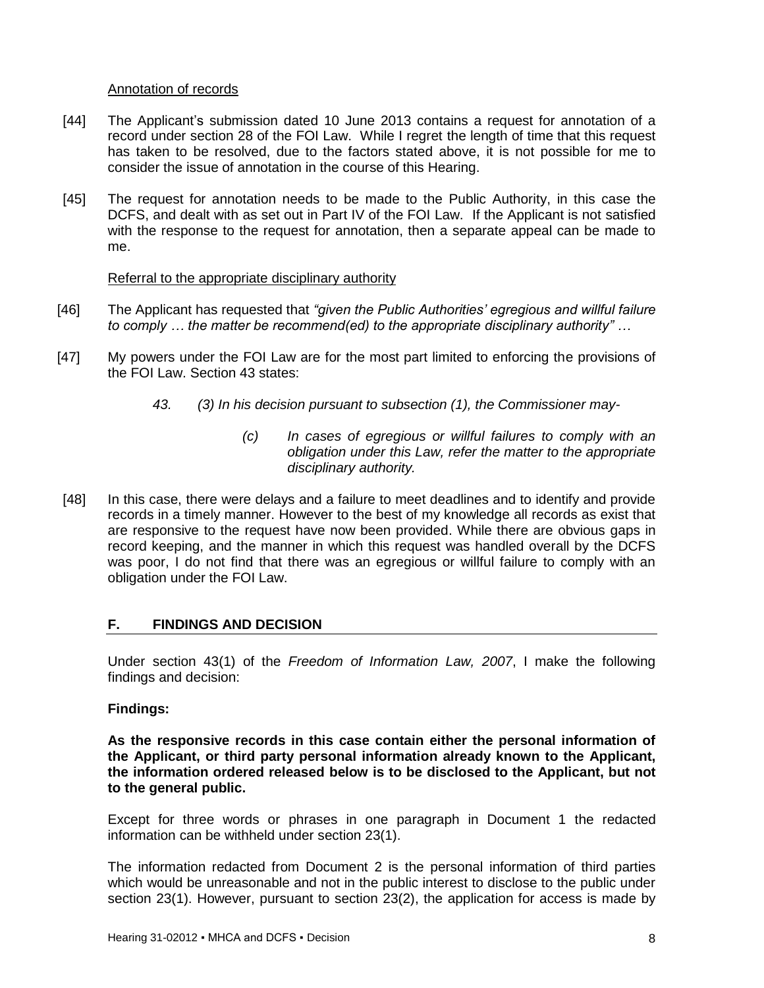#### Annotation of records

- [44] The Applicant's submission dated 10 June 2013 contains a request for annotation of a record under section 28 of the FOI Law. While I regret the length of time that this request has taken to be resolved, due to the factors stated above, it is not possible for me to consider the issue of annotation in the course of this Hearing.
- [45] The request for annotation needs to be made to the Public Authority, in this case the DCFS, and dealt with as set out in Part IV of the FOI Law. If the Applicant is not satisfied with the response to the request for annotation, then a separate appeal can be made to me.

#### Referral to the appropriate disciplinary authority

- [46] The Applicant has requested that *"given the Public Authorities' egregious and willful failure to comply … the matter be recommend(ed) to the appropriate disciplinary authority" …*
- [47] My powers under the FOI Law are for the most part limited to enforcing the provisions of the FOI Law. Section 43 states:
	- *43. (3) In his decision pursuant to subsection (1), the Commissioner may-*
		- *(c) In cases of egregious or willful failures to comply with an obligation under this Law, refer the matter to the appropriate disciplinary authority.*
- [48] In this case, there were delays and a failure to meet deadlines and to identify and provide records in a timely manner. However to the best of my knowledge all records as exist that are responsive to the request have now been provided. While there are obvious gaps in record keeping, and the manner in which this request was handled overall by the DCFS was poor, I do not find that there was an egregious or willful failure to comply with an obligation under the FOI Law.

## <span id="page-7-0"></span>**F. FINDINGS AND DECISION**

Under section 43(1) of the *Freedom of Information Law, 2007*, I make the following findings and decision:

## **Findings:**

**As the responsive records in this case contain either the personal information of the Applicant, or third party personal information already known to the Applicant, the information ordered released below is to be disclosed to the Applicant, but not to the general public.**

Except for three words or phrases in one paragraph in Document 1 the redacted information can be withheld under section 23(1).

The information redacted from Document 2 is the personal information of third parties which would be unreasonable and not in the public interest to disclose to the public under section 23(1). However, pursuant to section 23(2), the application for access is made by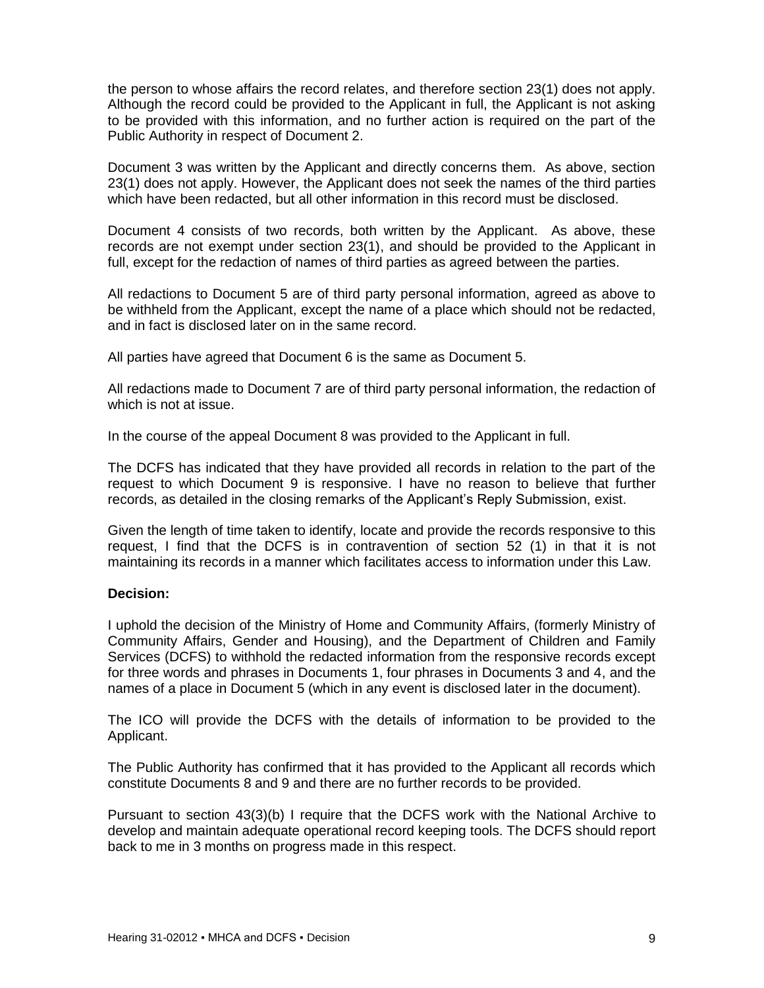the person to whose affairs the record relates, and therefore section 23(1) does not apply. Although the record could be provided to the Applicant in full, the Applicant is not asking to be provided with this information, and no further action is required on the part of the Public Authority in respect of Document 2.

Document 3 was written by the Applicant and directly concerns them. As above, section 23(1) does not apply. However, the Applicant does not seek the names of the third parties which have been redacted, but all other information in this record must be disclosed.

Document 4 consists of two records, both written by the Applicant. As above, these records are not exempt under section 23(1), and should be provided to the Applicant in full, except for the redaction of names of third parties as agreed between the parties.

All redactions to Document 5 are of third party personal information, agreed as above to be withheld from the Applicant, except the name of a place which should not be redacted, and in fact is disclosed later on in the same record.

All parties have agreed that Document 6 is the same as Document 5.

All redactions made to Document 7 are of third party personal information, the redaction of which is not at issue.

In the course of the appeal Document 8 was provided to the Applicant in full.

The DCFS has indicated that they have provided all records in relation to the part of the request to which Document 9 is responsive. I have no reason to believe that further records, as detailed in the closing remarks of the Applicant's Reply Submission, exist.

Given the length of time taken to identify, locate and provide the records responsive to this request, I find that the DCFS is in contravention of section 52 (1) in that it is not maintaining its records in a manner which facilitates access to information under this Law.

## **Decision:**

I uphold the decision of the Ministry of Home and Community Affairs, (formerly Ministry of Community Affairs, Gender and Housing), and the Department of Children and Family Services (DCFS) to withhold the redacted information from the responsive records except for three words and phrases in Documents 1, four phrases in Documents 3 and 4, and the names of a place in Document 5 (which in any event is disclosed later in the document).

The ICO will provide the DCFS with the details of information to be provided to the Applicant.

The Public Authority has confirmed that it has provided to the Applicant all records which constitute Documents 8 and 9 and there are no further records to be provided.

Pursuant to section 43(3)(b) I require that the DCFS work with the National Archive to develop and maintain adequate operational record keeping tools. The DCFS should report back to me in 3 months on progress made in this respect.